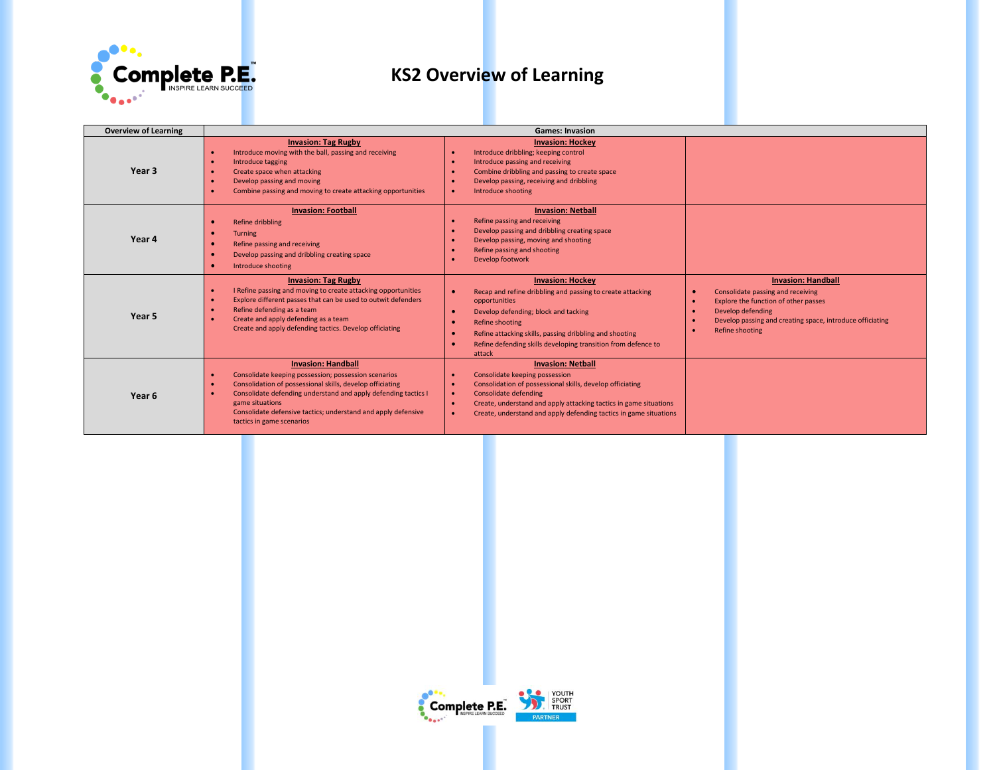

| <b>Overview of Learning</b> | <b>Games: Invasion</b>                                                                                                                                                                                                                                                                                                            |                                                                                                                                                                                                                                                                                                                      |                                                                                                                                                                                                                          |  |
|-----------------------------|-----------------------------------------------------------------------------------------------------------------------------------------------------------------------------------------------------------------------------------------------------------------------------------------------------------------------------------|----------------------------------------------------------------------------------------------------------------------------------------------------------------------------------------------------------------------------------------------------------------------------------------------------------------------|--------------------------------------------------------------------------------------------------------------------------------------------------------------------------------------------------------------------------|--|
| Year 3                      | <b>Invasion: Tag Rugby</b><br>Introduce moving with the ball, passing and receiving<br>Introduce tagging<br>Create space when attacking<br>Develop passing and moving<br>Combine passing and moving to create attacking opportunities                                                                                             | <b>Invasion: Hockey</b><br>Introduce dribbling; keeping control<br>Introduce passing and receiving<br>Combine dribbling and passing to create space<br>Develop passing, receiving and dribbling<br>Introduce shooting                                                                                                |                                                                                                                                                                                                                          |  |
| Year 4                      | <b>Invasion: Football</b><br>Refine dribbling<br><b>Turning</b><br>Refine passing and receiving<br>Develop passing and dribbling creating space<br>Introduce shooting                                                                                                                                                             | <b>Invasion: Netball</b><br>Refine passing and receiving<br>Develop passing and dribbling creating space<br>Develop passing, moving and shooting<br>Refine passing and shooting<br>Develop footwork                                                                                                                  |                                                                                                                                                                                                                          |  |
| Year 5                      | <b>Invasion: Tag Rugby</b><br>I Refine passing and moving to create attacking opportunities<br>Explore different passes that can be used to outwit defenders<br>Refine defending as a team<br>Create and apply defending as a team<br>Create and apply defending tactics. Develop officiating                                     | <b>Invasion: Hockey</b><br>Recap and refine dribbling and passing to create attacking<br>opportunities<br>Develop defending; block and tacking<br>×<br><b>Refine shooting</b><br>Refine attacking skills, passing dribbling and shooting<br>Refine defending skills developing transition from defence to<br>attack  | <b>Invasion: Handball</b><br>Consolidate passing and receiving<br>Explore the function of other passes<br>$\bullet$<br>Develop defending<br>Develop passing and creating space, introduce officiating<br>Refine shooting |  |
| Year 6                      | <b>Invasion: Handball</b><br>Consolidate keeping possession; possession scenarios<br>Consolidation of possessional skills, develop officiating<br>Consolidate defending understand and apply defending tactics I<br>game situations<br>Consolidate defensive tactics; understand and apply defensive<br>tactics in game scenarios | <b>Invasion: Netball</b><br>Consolidate keeping possession<br>Consolidation of possessional skills, develop officiating<br><b>Consolidate defending</b><br>$\bullet$<br>Create, understand and apply attacking tactics in game situations<br>-e<br>Create, understand and apply defending tactics in game situations |                                                                                                                                                                                                                          |  |

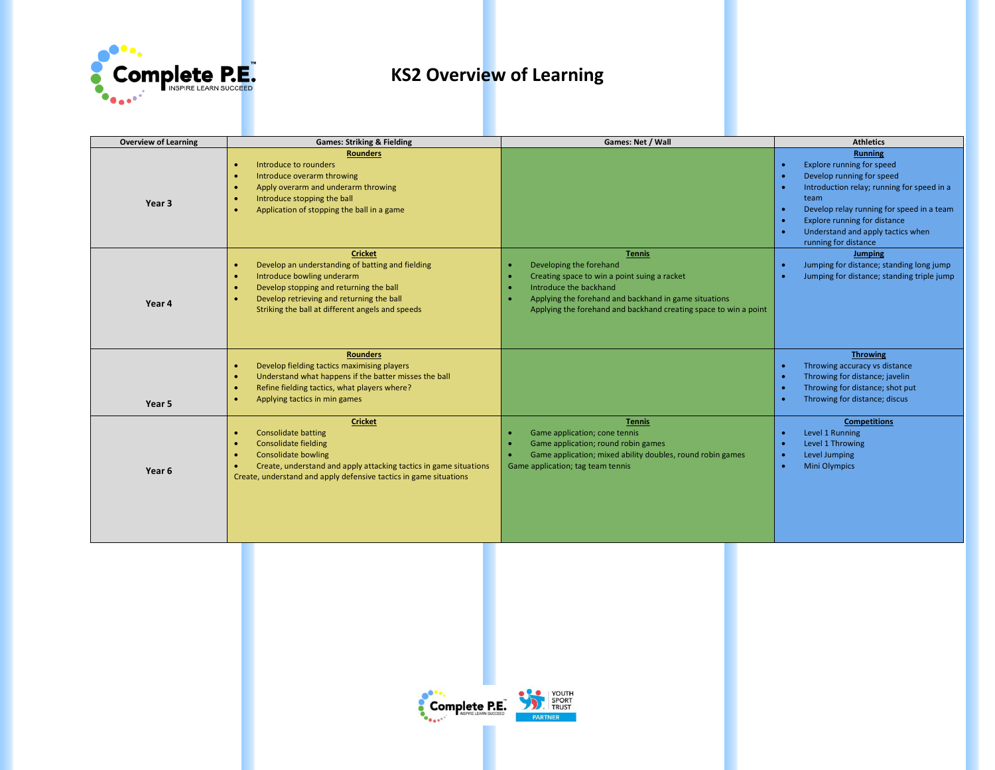

| <b>Overview of Learning</b> | <b>Games: Striking &amp; Fielding</b>                                                                                                                                                                                                                                                      | Games: Net / Wall                                                                                                                                                                                                                               | <b>Athletics</b>                                                                                                                                                                                                                                                                                                                                              |
|-----------------------------|--------------------------------------------------------------------------------------------------------------------------------------------------------------------------------------------------------------------------------------------------------------------------------------------|-------------------------------------------------------------------------------------------------------------------------------------------------------------------------------------------------------------------------------------------------|---------------------------------------------------------------------------------------------------------------------------------------------------------------------------------------------------------------------------------------------------------------------------------------------------------------------------------------------------------------|
| Year <sub>3</sub>           | <b>Rounders</b><br>Introduce to rounders<br>$\bullet$<br>Introduce overarm throwing<br>$\bullet$<br>Apply overarm and underarm throwing<br>$\bullet$<br>Introduce stopping the ball<br>$\bullet$<br>Application of stopping the ball in a game<br>$\bullet$                                |                                                                                                                                                                                                                                                 | <b>Running</b><br>Explore running for speed<br>$\bullet$<br>Develop running for speed<br>$\bullet$<br>Introduction relay; running for speed in a<br>$\bullet$<br>team<br>Develop relay running for speed in a team<br>$\bullet$<br><b>Explore running for distance</b><br>$\bullet$<br>Understand and apply tactics when<br>$\bullet$<br>running for distance |
| Year 4                      | <b>Cricket</b><br>Develop an understanding of batting and fielding<br>$\bullet$<br>Introduce bowling underarm<br>$\bullet$<br>Develop stopping and returning the ball<br>$\bullet$<br>Develop retrieving and returning the ball<br>Striking the ball at different angels and speeds        | <b>Tennis</b><br>Developing the forehand<br>Creating space to win a point suing a racket<br>Introduce the backhand<br>Applying the forehand and backhand in game situations<br>Applying the forehand and backhand creating space to win a point | <b>Jumping</b><br>Jumping for distance; standing long jump<br>$\bullet$<br>Jumping for distance; standing triple jump<br>$\bullet$                                                                                                                                                                                                                            |
| Year 5                      | <b>Rounders</b><br>Develop fielding tactics maximising players<br>$\bullet$<br>Understand what happens if the batter misses the ball<br>$\bullet$<br>Refine fielding tactics, what players where?<br>$\bullet$<br>Applying tactics in min games<br>$\bullet$                               |                                                                                                                                                                                                                                                 | <b>Throwing</b><br>Throwing accuracy vs distance<br>×<br>Throwing for distance; javelin<br>$\bullet$<br>Throwing for distance; shot put<br>$\bullet$<br>Throwing for distance; discus<br>×                                                                                                                                                                    |
| Year 6                      | <b>Cricket</b><br><b>Consolidate batting</b><br>$\bullet$<br><b>Consolidate fielding</b><br>$\bullet$<br><b>Consolidate bowling</b><br>$\bullet$<br>Create, understand and apply attacking tactics in game situations<br>Create, understand and apply defensive tactics in game situations | <b>Tennis</b><br>Game application; cone tennis<br>Game application; round robin games<br>Game application; mixed ability doubles, round robin games<br>Game application; tag team tennis                                                        | <b>Competitions</b><br>Level 1 Running<br>$\bullet$<br>Level 1 Throwing<br>×<br>Level Jumping<br>$\bullet$<br><b>Mini Olympics</b><br>$\bullet$                                                                                                                                                                                                               |

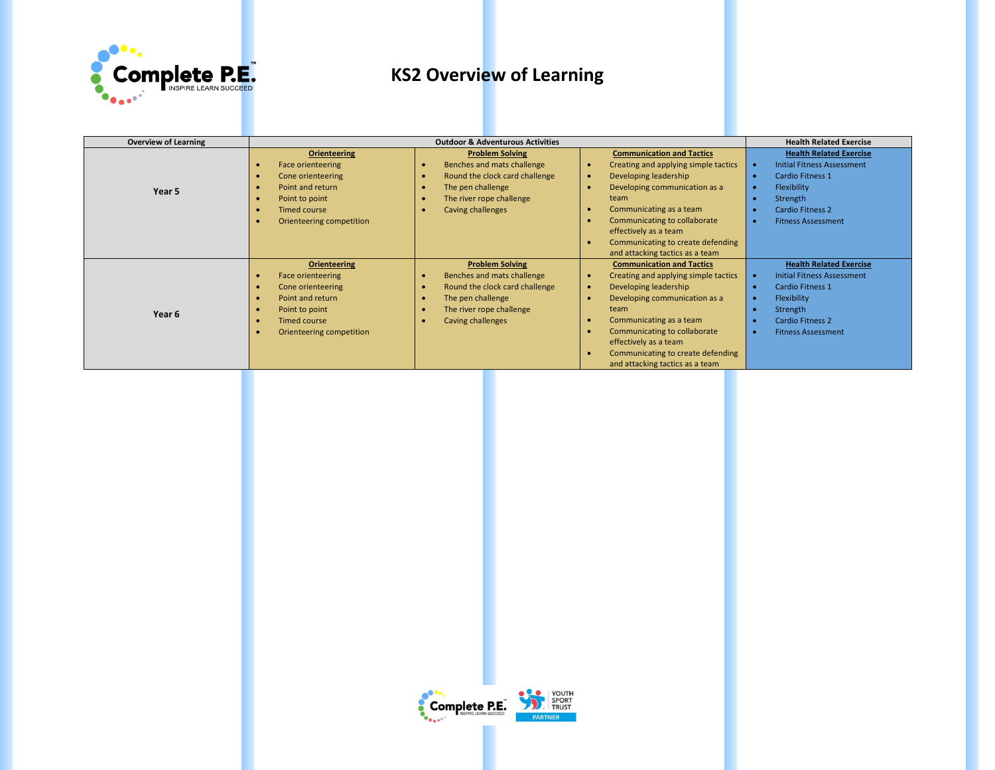

| <b>Overview of Learning</b> | <b>Outdoor &amp; Adventurous Activities</b> |                                             |                                      | <b>Health Related Exercise</b>    |
|-----------------------------|---------------------------------------------|---------------------------------------------|--------------------------------------|-----------------------------------|
|                             | <b>Orienteering</b>                         | <b>Problem Solving</b>                      | <b>Communication and Tactics</b>     | <b>Health Related Exercise</b>    |
|                             | <b>Face orienteering</b>                    | Benches and mats challenge<br>$\bullet$     | Creating and applying simple tactics | <b>Initial Fitness Assessment</b> |
|                             | Cone orienteering                           | Round the clock card challenge<br>$\bullet$ | Developing leadership                | Cardio Fitness 1<br>٠             |
| Year 5                      | Point and return                            | The pen challenge                           | Developing communication as a        | Flexibility                       |
|                             | Point to point                              | The river rope challenge<br>$\bullet$       | team                                 | Strength                          |
|                             | Timed course                                | Caving challenges<br>$\bullet$              | Communicating as a team              | <b>Cardio Fitness 2</b><br>٠      |
|                             | Orienteering competition                    |                                             | Communicating to collaborate         | <b>Fitness Assessment</b><br>٠    |
|                             |                                             |                                             | effectively as a team                |                                   |
|                             |                                             |                                             | Communicating to create defending    |                                   |
|                             |                                             |                                             | and attacking tactics as a team      |                                   |
|                             | <b>Orienteering</b>                         | <b>Problem Solving</b>                      | <b>Communication and Tactics</b>     | <b>Health Related Exercise</b>    |
|                             | Face orienteering                           | Benches and mats challenge<br>$\bullet$     | Creating and applying simple tactics | <b>Initial Fitness Assessment</b> |
|                             | Cone orienteering                           | Round the clock card challenge<br>$\bullet$ | Developing leadership                | Cardio Fitness 1<br>$\bullet$     |
|                             | Point and return                            | The pen challenge<br>$\bullet$              | Developing communication as a        | Flexibility<br>$\bullet$          |
| Year 6                      | Point to point                              | The river rope challenge<br>$\bullet$       | team                                 | Strength                          |
|                             | Timed course                                | <b>Caving challenges</b><br>$\bullet$       | Communicating as a team              | <b>Cardio Fitness 2</b><br>٠      |
|                             | Orienteering competition                    |                                             | Communicating to collaborate         | <b>Fitness Assessment</b><br>٠    |
|                             |                                             |                                             | effectively as a team                |                                   |
|                             |                                             |                                             | Communicating to create defending    |                                   |
|                             |                                             |                                             | and attacking tactics as a team      |                                   |